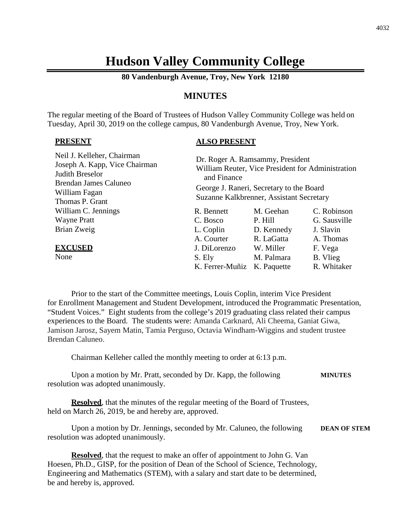# **Hudson Valley Community College**

**80 Vandenburgh Avenue, Troy, New York 12180**

# **MINUTES**

The regular meeting of the Board of Trustees of Hudson Valley Community College was held on Tuesday, April 30, 2019 on the college campus, 80 Vandenburgh Avenue, Troy, New York.

#### **PRESENT**

# **ALSO PRESENT**

| Neil J. Kelleher, Chairman<br>Joseph A. Kapp, Vice Chairman<br>Judith Breselor<br>Brendan James Caluneo | Dr. Roger A. Ramsammy, President<br>William Reuter, Vice President for Administration<br>and Finance |             |              |
|---------------------------------------------------------------------------------------------------------|------------------------------------------------------------------------------------------------------|-------------|--------------|
| William Fagan                                                                                           | George J. Raneri, Secretary to the Board<br>Suzanne Kalkbrenner, Assistant Secretary                 |             |              |
| Thomas P. Grant                                                                                         |                                                                                                      |             |              |
| William C. Jennings                                                                                     | R. Bennett                                                                                           | M. Geehan   | C. Robinson  |
| <b>Wayne Pratt</b>                                                                                      | C. Bosco                                                                                             | P. Hill     | G. Sausville |
| Brian Zweig                                                                                             | L. Coplin                                                                                            | D. Kennedy  | J. Slavin    |
|                                                                                                         | A. Courter                                                                                           | R. LaGatta  | A. Thomas    |
| <b>EXCUSED</b>                                                                                          | J. DiLorenzo                                                                                         | W. Miller   | F. Vega      |
| None                                                                                                    | S. Ely                                                                                               | M. Palmara  | B. Vlieg     |
|                                                                                                         | K. Ferrer-Muñiz                                                                                      | K. Paquette | R. Whitaker  |

Prior to the start of the Committee meetings, Louis Coplin, interim Vice President for Enrollment Management and Student Development, introduced the Programmatic Presentation, "Student Voices." Eight students from the college's 2019 graduating class related their campus experiences to the Board. The students were: Amanda Carknard, Ali Cheema, Ganiat Giwa, Jamison Jarosz, Sayem Matin, Tamia Perguso, Octavia Windham-Wiggins and student trustee Brendan Caluneo.

Chairman Kelleher called the monthly meeting to order at 6:13 p.m.

Upon a motion by Mr. Pratt, seconded by Dr. Kapp, the following **MINUTES** resolution was adopted unanimously.

**Resolved**, that the minutes of the regular meeting of the Board of Trustees, held on March 26, 2019, be and hereby are, approved.

Upon a motion by Dr. Jennings, seconded by Mr. Caluneo, the following **DEAN OF STEM** resolution was adopted unanimously.

**Resolved**, that the request to make an offer of appointment to John G. Van Hoesen, Ph.D., GISP, for the position of Dean of the School of Science, Technology, Engineering and Mathematics (STEM), with a salary and start date to be determined, be and hereby is, approved.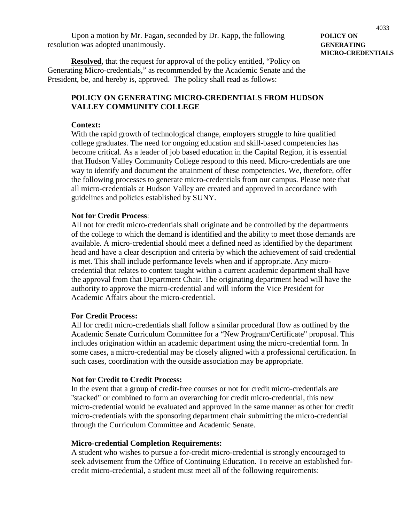Upon a motion by Mr. Fagan, seconded by Dr. Kapp, the following **POLICY ON** resolution was adopted unanimously. **GENERATING**

# **MICRO-CREDENTIALS**

**Resolved**, that the request for approval of the policy entitled, "Policy on Generating Micro-credentials," as recommended by the Academic Senate and the President, be, and hereby is, approved. The policy shall read as follows:

# **POLICY ON GENERATING MICRO-CREDENTIALS FROM HUDSON VALLEY COMMUNITY COLLEGE**

#### **Context:**

With the rapid growth of technological change, employers struggle to hire qualified college graduates. The need for ongoing education and skill-based competencies has become critical. As a leader of job based education in the Capital Region, it is essential that Hudson Valley Community College respond to this need. Micro-credentials are one way to identify and document the attainment of these competencies. We, therefore, offer the following processes to generate micro-credentials from our campus. Please note that all micro-credentials at Hudson Valley are created and approved in accordance with guidelines and policies established by SUNY.

#### **Not for Credit Process**:

All not for credit micro-credentials shall originate and be controlled by the departments of the college to which the demand is identified and the ability to meet those demands are available. A micro-credential should meet a defined need as identified by the department head and have a clear description and criteria by which the achievement of said credential is met. This shall include performance levels when and if appropriate. Any microcredential that relates to content taught within a current academic department shall have the approval from that Department Chair. The originating department head will have the authority to approve the micro-credential and will inform the Vice President for Academic Affairs about the micro-credential.

#### **For Credit Process:**

All for credit micro-credentials shall follow a similar procedural flow as outlined by the Academic Senate Curriculum Committee for a "New Program/Certificate" proposal. This includes origination within an academic department using the micro-credential form. In some cases, a micro-credential may be closely aligned with a professional certification. In such cases, coordination with the outside association may be appropriate.

#### **Not for Credit to Credit Process:**

In the event that a group of credit-free courses or not for credit micro-credentials are ''stacked" or combined to form an overarching for credit micro-credential, this new micro-credential would be evaluated and approved in the same manner as other for credit micro-credentials with the sponsoring department chair submitting the micro-credential through the Curriculum Committee and Academic Senate.

#### **Micro-credential Completion Requirements:**

A student who wishes to pursue a for-credit micro-credential is strongly encouraged to seek advisement from the Office of Continuing Education. To receive an established forcredit micro-credential, a student must meet all of the following requirements: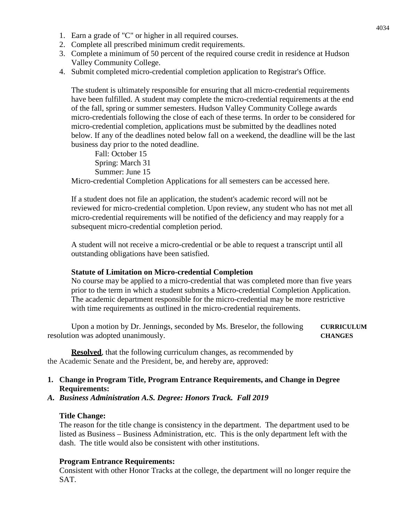- 1. Earn a grade of "C" or higher in all required courses.
- 2. Complete all prescribed minimum credit requirements.
- 3. Complete a minimum of 50 percent of the required course credit in residence at Hudson Valley Community College.
- 4. Submit completed micro-credential completion application to Registrar's Office.

The student is ultimately responsible for ensuring that all micro-credential requirements have been fulfilled. A student may complete the micro-credential requirements at the end of the fall, spring or summer semesters. Hudson Valley Community College awards micro-credentials following the close of each of these terms. In order to be considered for micro-credential completion, applications must be submitted by the deadlines noted below. If any of the deadlines noted below fall on a weekend, the deadline will be the last business day prior to the noted deadline.

Fall: October 15 Spring: March 31 Summer: June 15

Micro-credential Completion Applications for all semesters can be accessed here.

If a student does not file an application, the student's academic record will not be reviewed for micro-credential completion. Upon review, any student who has not met all micro-credential requirements will be notified of the deficiency and may reapply for a subsequent micro-credential completion period.

A student will not receive a micro-credential or be able to request a transcript until all outstanding obligations have been satisfied.

#### **Statute of Limitation on Micro-credential Completion**

No course may be applied to a micro-credential that was completed more than five years prior to the term in which a student submits a Micro-credential Completion Application. The academic department responsible for the micro-credential may be more restrictive with time requirements as outlined in the micro-credential requirements.

Upon a motion by Dr. Jennings, seconded by Ms. Breselor, the following **CURRICULUM** resolution was adopted unanimously. **CHANGES**

**Resolved**, that the following curriculum changes, as recommended by the Academic Senate and the President, be, and hereby are, approved:

# **1. Change in Program Title, Program Entrance Requirements, and Change in Degree Requirements:**

*A. Business Administration A.S. Degree: Honors Track. Fall 2019*

#### **Title Change:**

The reason for the title change is consistency in the department. The department used to be listed as Business – Business Administration, etc. This is the only department left with the dash. The title would also be consistent with other institutions.

#### **Program Entrance Requirements:**

Consistent with other Honor Tracks at the college, the department will no longer require the SAT.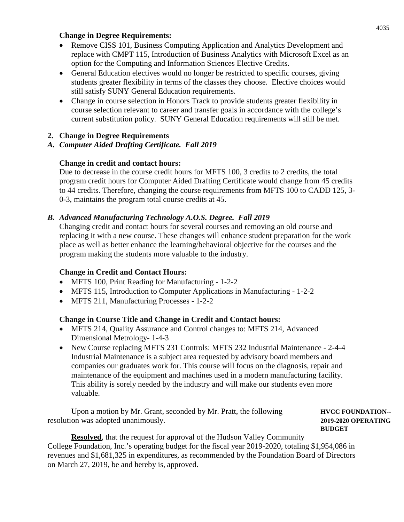# **Change in Degree Requirements:**

- Remove CISS 101, Business Computing Application and Analytics Development and replace with CMPT 115, Introduction of Business Analytics with Microsoft Excel as an option for the Computing and Information Sciences Elective Credits.
- General Education electives would no longer be restricted to specific courses, giving students greater flexibility in terms of the classes they choose. Elective choices would still satisfy SUNY General Education requirements.
- Change in course selection in Honors Track to provide students greater flexibility in course selection relevant to career and transfer goals in accordance with the college's current substitution policy. SUNY General Education requirements will still be met.

# **2. Change in Degree Requirements**

# *A. Computer Aided Drafting Certificate. Fall 2019*

# **Change in credit and contact hours:**

Due to decrease in the course credit hours for MFTS 100, 3 credits to 2 credits, the total program credit hours for Computer Aided Drafting Certificate would change from 45 credits to 44 credits. Therefore, changing the course requirements from MFTS 100 to CADD 125, 3- 0-3, maintains the program total course credits at 45.

# *B. Advanced Manufacturing Technology A.O.S. Degree. Fall 2019*

Changing credit and contact hours for several courses and removing an old course and replacing it with a new course. These changes will enhance student preparation for the work place as well as better enhance the learning/behavioral objective for the courses and the program making the students more valuable to the industry.

# **Change in Credit and Contact Hours:**

- MFTS 100, Print Reading for Manufacturing 1-2-2
- MFTS 115, Introduction to Computer Applications in Manufacturing 1-2-2
- MFTS 211, Manufacturing Processes 1-2-2

# **Change in Course Title and Change in Credit and Contact hours:**

- MFTS 214, Quality Assurance and Control changes to: MFTS 214, Advanced Dimensional Metrology- 1-4-3
- New Course replacing MFTS 231 Controls: MFTS 232 Industrial Maintenance 2-4-4 Industrial Maintenance is a subject area requested by advisory board members and companies our graduates work for. This course will focus on the diagnosis, repair and maintenance of the equipment and machines used in a modern manufacturing facility. This ability is sorely needed by the industry and will make our students even more valuable.

Upon a motion by Mr. Grant, seconded by Mr. Pratt, the following **HVCC FOUNDATION-**resolution was adopted unanimously. **2019-2020 OPERATING**

**BUDGET**

**Resolved**, that the request for approval of the Hudson Valley Community College Foundation, Inc.'s operating budget for the fiscal year 2019-2020, totaling \$1,954,086 in revenues and \$1,681,325 in expenditures, as recommended by the Foundation Board of Directors on March 27, 2019, be and hereby is, approved.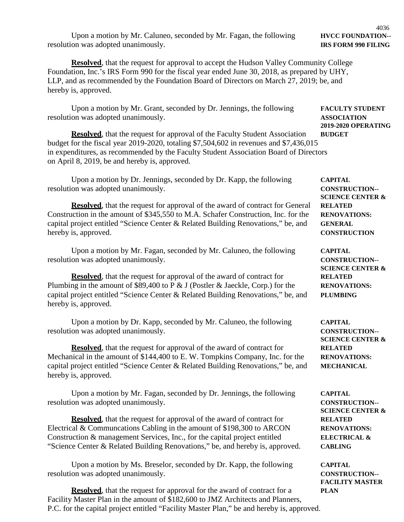Upon a motion by Mr. Caluneo, seconded by Mr. Fagan, the following **HVCC FOUNDATION**-resolution was adopted unanimously. **IRS FORM 990 FILING**

**Resolved**, that the request for approval to accept the Hudson Valley Community College Foundation, Inc.'s IRS Form 990 for the fiscal year ended June 30, 2018, as prepared by UHY, LLP, and as recommended by the Foundation Board of Directors on March 27, 2019; be, and hereby is, approved.

Upon a motion by Mr. Grant, seconded by Dr. Jennings, the following **FACULTY STUDENT** resolution was adopted unanimously. **ASSOCIATION**

**Resolved**, that the request for approval of the Faculty Student Association **BUDGET** budget for the fiscal year 2019-2020, totaling \$7,504,602 in revenues and \$7,436,015 in expenditures, as recommended by the Faculty Student Association Board of Directors on April 8, 2019, be and hereby is, approved.

Upon a motion by Dr. Jennings, seconded by Dr. Kapp, the following **CAPITAL** resolution was adopted unanimously. **CONSTRUCTION--**

**Resolved**, that the request for approval of the award of contract for General **RELATED** Construction in the amount of \$345,550 to M.A. Schafer Construction, Inc. for the **RENOVATIONS:** capital project entitled "Science Center & Related Building Renovations," be, and **GENERAL** hereby is, approved. **CONSTRUCTION**

Upon a motion by Mr. Fagan, seconded by Mr. Caluneo, the following **CAPITAL** resolution was adopted unanimously. **CONSTRUCTION--**

**Resolved**, that the request for approval of the award of contract for **RELATED** Plumbing in the amount of \$89,400 to P & J (Postler & Jaeckle, Corp.) for the **RENOVATIONS:** capital project entitled "Science Center & Related Building Renovations," be, and **PLUMBING** hereby is, approved.

Upon a motion by Dr. Kapp, seconded by Mr. Caluneo, the following **CAPITAL** resolution was adopted unanimously. **CONSTRUCTION--**

**Resolved**, that the request for approval of the award of contract for **RELATED** Mechanical in the amount of \$144,400 to E. W. Tompkins Company, Inc. for the **RENOVATIONS:** capital project entitled "Science Center & Related Building Renovations," be, and **MECHANICAL** hereby is, approved.

Upon a motion by Mr. Fagan, seconded by Dr. Jennings, the following **CAPITAL** resolution was adopted unanimously. **CONSTRUCTION--**

**Resolved**, that the request for approval of the award of contract for **RELATED** Electrical & Communcations Cabling in the amount of \$198,300 to ARCON **RENOVATIONS:** Construction & management Services, Inc., for the capital project entitled **ELECTRICAL &** "Science Center & Related Building Renovations," be, and hereby is, approved. **CABLING**

Upon a motion by Ms. Breselor, seconded by Dr. Kapp, the following **CAPITAL** resolution was adopted unanimously. **CONSTRUCTION--**

**Resolved**, that the request for approval for the award of contract for a **PLAN** Facility Master Plan in the amount of \$182,600 to JMZ Architects and Planners, P.C. for the capital project entitled "Facility Master Plan," be and hereby is, approved.

**SCIENCE CENTER &**

**2019-2020 OPERATING**

**SCIENCE CENTER &**

**SCIENCE CENTER &**

**SCIENCE CENTER &**

**FACILITY MASTER**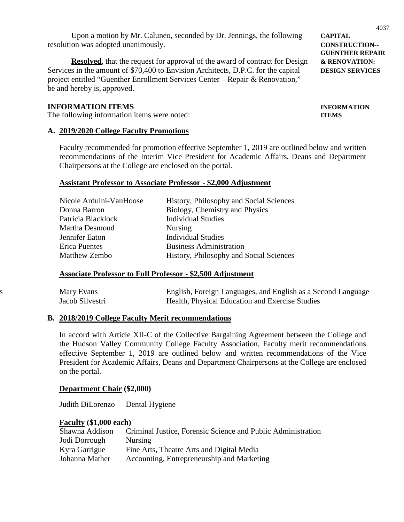Upon a motion by Mr. Caluneo, seconded by Dr. Jennings, the following **CAPITAL** resolution was adopted unanimously. **CONSTRUCTION--**

**Resolved**, that the request for approval of the award of contract for Design  $\&$  **RENOVATION:** Services in the amount of \$70,400 to Envision Architects, D.P.C. for the capital **DESIGN SERVICES** project entitled "Guenther Enrollment Services Center – Repair & Renovation," be and hereby is, approved.

# **INFORMATION ITEMS INFORMATION**

The following information items were noted: **ITEMS**

#### **A. 2019/2020 College Faculty Promotions**

Faculty recommended for promotion effective September 1, 2019 are outlined below and written recommendations of the Interim Vice President for Academic Affairs, Deans and Department Chairpersons at the College are enclosed on the portal.

#### **Assistant Professor to Associate Professor - \$2,000 Adjustment**

| Nicole Arduini-VanHoose | History, Philosophy and Social Sciences |
|-------------------------|-----------------------------------------|
| Donna Barron            | Biology, Chemistry and Physics          |
| Patricia Blacklock      | <b>Individual Studies</b>               |
| Martha Desmond          | <b>Nursing</b>                          |
| Jennifer Eaton          | <b>Individual Studies</b>               |
| <b>Erica Puentes</b>    | <b>Business Administration</b>          |
| <b>Matthew Zembo</b>    | History, Philosophy and Social Sciences |

#### **Associate Professor to Full Professor - \$2,500 Adjustment**

| Mary Evans      | English, Foreign Languages, and English as a Second Language |
|-----------------|--------------------------------------------------------------|
| Jacob Silvestri | Health, Physical Education and Exercise Studies              |

#### **B. 2018/2019 College Faculty Merit recommendations**

In accord with Article XII-C of the Collective Bargaining Agreement between the College and the Hudson Valley Community College Faculty Association, Faculty merit recommendations effective September 1, 2019 are outlined below and written recommendations of the Vice President for Academic Affairs, Deans and Department Chairpersons at the College are enclosed on the portal.

#### **Department Chair (\$2,000)**

Judith DiLorenzo Dental Hygiene

#### **Faculty (\$1,000 each)**

| Shawna Addison | Criminal Justice, Forensic Science and Public Administration |
|----------------|--------------------------------------------------------------|
| Jodi Dorrough  | <b>Nursing</b>                                               |
| Kyra Garrigue  | Fine Arts, Theatre Arts and Digital Media                    |
| Johanna Mather | Accounting, Entrepreneurship and Marketing                   |

**GUENTHER REPAIR**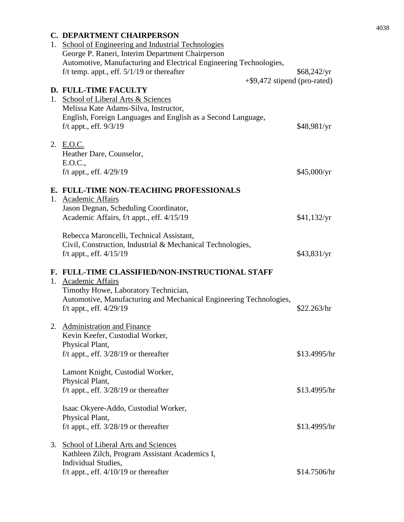# **C. DEPARTMENT CHAIRPERSON**

|  | 1. School of Engineering and Industrial Technologies<br>George P. Raneri, Interim Department Chairperson<br>Automotive, Manufacturing and Electrical Engineering Technologies, |              |  |
|--|--------------------------------------------------------------------------------------------------------------------------------------------------------------------------------|--------------|--|
|  |                                                                                                                                                                                |              |  |
|  |                                                                                                                                                                                |              |  |
|  | f/t temp. appt., eff. $5/1/19$ or thereafter                                                                                                                                   | \$68,242/yr  |  |
|  | $+$ \$9,472 stipend (pro-rated)                                                                                                                                                |              |  |
|  | <b>D. FULL-TIME FACULTY</b>                                                                                                                                                    |              |  |
|  | 1. School of Liberal Arts & Sciences                                                                                                                                           |              |  |
|  | Melissa Kate Adams-Silva, Instructor,                                                                                                                                          |              |  |
|  | English, Foreign Languages and English as a Second Language,                                                                                                                   |              |  |
|  | $f/t$ appt., eff. $9/3/19$                                                                                                                                                     | \$48,981/yr  |  |
|  |                                                                                                                                                                                |              |  |
|  | 2. E.O.C.                                                                                                                                                                      |              |  |
|  | Heather Dare, Counselor,                                                                                                                                                       |              |  |
|  | E.O.C.,                                                                                                                                                                        |              |  |
|  |                                                                                                                                                                                |              |  |
|  | f/t appt., eff. 4/29/19                                                                                                                                                        | \$45,000/yr  |  |
|  |                                                                                                                                                                                |              |  |
|  | E. FULL-TIME NON-TEACHING PROFESSIONALS                                                                                                                                        |              |  |
|  | 1. Academic Affairs                                                                                                                                                            |              |  |
|  | Jason Degnan, Scheduling Coordinator,                                                                                                                                          |              |  |
|  | Academic Affairs, f/t appt., eff. 4/15/19                                                                                                                                      | \$41,132/yr  |  |
|  |                                                                                                                                                                                |              |  |
|  | Rebecca Maroncelli, Technical Assistant,                                                                                                                                       |              |  |
|  | Civil, Construction, Industrial & Mechanical Technologies,                                                                                                                     |              |  |
|  | f/t appt., eff. $4/15/19$                                                                                                                                                      | \$43,831/yr  |  |
|  |                                                                                                                                                                                |              |  |
|  | F. FULL-TIME CLASSIFIED/NON-INSTRUCTIONAL STAFF                                                                                                                                |              |  |
|  | 1. Academic Affairs                                                                                                                                                            |              |  |
|  | Timothy Howe, Laboratory Technician,                                                                                                                                           |              |  |
|  | Automotive, Manufacturing and Mechanical Engineering Technologies,                                                                                                             |              |  |
|  | f/t appt., eff. $4/29/19$                                                                                                                                                      | \$22.263/hr  |  |
|  |                                                                                                                                                                                |              |  |
|  | 2. Administration and Finance                                                                                                                                                  |              |  |
|  | Kevin Keefer, Custodial Worker,                                                                                                                                                |              |  |
|  |                                                                                                                                                                                |              |  |
|  | Physical Plant,                                                                                                                                                                |              |  |
|  | f/t appt., eff. $3/28/19$ or thereafter                                                                                                                                        | \$13.4995/hr |  |
|  |                                                                                                                                                                                |              |  |
|  | Lamont Knight, Custodial Worker,                                                                                                                                               |              |  |
|  | Physical Plant,                                                                                                                                                                |              |  |
|  | f/t appt., eff. $3/28/19$ or thereafter                                                                                                                                        | \$13.4995/hr |  |
|  |                                                                                                                                                                                |              |  |
|  | Isaac Okyere-Addo, Custodial Worker,                                                                                                                                           |              |  |
|  | Physical Plant,                                                                                                                                                                |              |  |
|  | f/t appt., eff. $3/28/19$ or thereafter                                                                                                                                        | \$13.4995/hr |  |
|  |                                                                                                                                                                                |              |  |
|  | 3. School of Liberal Arts and Sciences                                                                                                                                         |              |  |
|  |                                                                                                                                                                                |              |  |
|  | Kathleen Zilch, Program Assistant Academics I,<br>Individual Studies,                                                                                                          |              |  |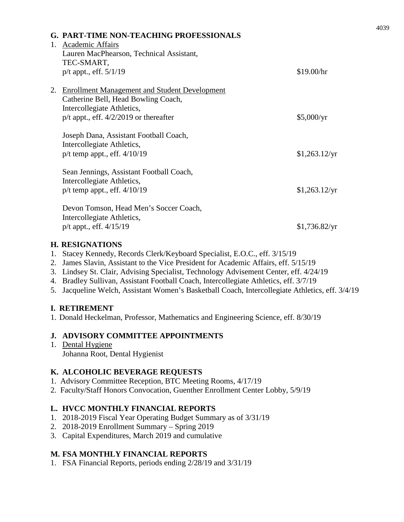|    | <b>G. PART-TIME NON-TEACHING PROFESSIONALS</b><br>1. Academic Affairs<br>Lauren MacPhearson, Technical Assistant,<br>TEC-SMART, |               |
|----|---------------------------------------------------------------------------------------------------------------------------------|---------------|
|    | $p/t$ appt., eff. $5/1/19$                                                                                                      | \$19.00/hr    |
| 2. | <b>Enrollment Management and Student Development</b><br>Catherine Bell, Head Bowling Coach,<br>Intercollegiate Athletics,       |               |
|    | $p/t$ appt., eff. $4/2/2019$ or thereafter                                                                                      | \$5,000/yr    |
|    | Joseph Dana, Assistant Football Coach,<br>Intercollegiate Athletics,<br>$p/t$ temp appt., eff. $4/10/19$                        | \$1,263.12/yr |
|    | Sean Jennings, Assistant Football Coach,<br>Intercollegiate Athletics,<br>$p/t$ temp appt., eff. $4/10/19$                      | \$1,263.12/yr |
|    | Devon Tomson, Head Men's Soccer Coach,<br>Intercollegiate Athletics,<br>p/t appt., eff. 4/15/19                                 | \$1,736.82/yr |

# **H. RESIGNATIONS**

- 1. Stacey Kennedy, Records Clerk/Keyboard Specialist, E.O.C., eff. 3/15/19
- 2. James Slavin, Assistant to the Vice President for Academic Affairs, eff. 5/15/19
- 3. Lindsey St. Clair, Advising Specialist, Technology Advisement Center, eff. 4/24/19
- 4. Bradley Sullivan, Assistant Football Coach, Intercollegiate Athletics, eff. 3/7/19
- 5. Jacqueline Welch, Assistant Women's Basketball Coach, Intercollegiate Athletics, eff. 3/4/19

# **I. RETIREMENT**

1. Donald Heckelman, Professor, Mathematics and Engineering Science, eff. 8/30/19

# **J. ADVISORY COMMITTEE APPOINTMENTS**

1. Dental Hygiene Johanna Root, Dental Hygienist

# **K. ALCOHOLIC BEVERAGE REQUESTS**

- 1. Advisory Committee Reception, BTC Meeting Rooms, 4/17/19
- 2. Faculty/Staff Honors Convocation, Guenther Enrollment Center Lobby, 5/9/19

# **L. HVCC MONTHLY FINANCIAL REPORTS**

- 1. 2018-2019 Fiscal Year Operating Budget Summary as of 3/31/19
- 2. 2018-2019 Enrollment Summary Spring 2019
- 3. Capital Expenditures, March 2019 and cumulative

# **M. FSA MONTHLY FINANCIAL REPORTS**

1. FSA Financial Reports, periods ending 2/28/19 and 3/31/19